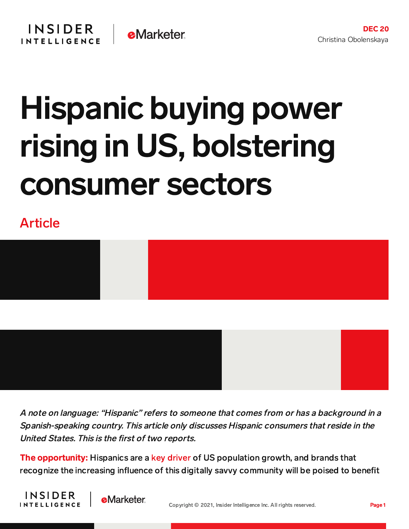## Hispanic buying power rising in US, bolstering consumer sectors

## Article



A note on language: "Hispanic" refers to someone that comes from or has <sup>a</sup> background in <sup>a</sup> Spanish-speaking country. This article only discusses Hispanic consumers that reside in the

The opportunity: Hispanics are a key [driver](https://www.nbcnews.com/news/latino/latinos-account-half-countrys-population-growth-rcna1667) of US population growth, and brands that recognize the increasing influence of this digitally savvy community will be poised to benefit





United States. This is the first of two reports.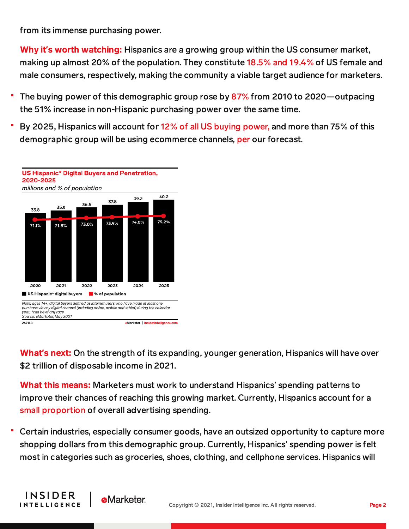from its immense purchasing power.

Why it**'**s worth watching: Hispanics are a growing group within the US consumer market, making up almost 20% of the population. They constitute [18.5%](https://chart-na1.emarketer.com/249812/demographic-profile-of-us-male-female-consumers-2021-millions-of-total-each-group) and 19.4% of US female and male consumers, respectively, making the community a viable target audience for marketers.

- The buying power of this demographic group rose by [87%](https://emarketer.sharepoint.com/sites/research-and-taxonomy/Document%20Attachments/Forms/2016.aspx?id=/sites/research-and-taxonomy/Document%20Attachments/Selig_Multicultural_Economy_2021.pdf&parent=/sites/research-and-taxonomy/Document%20Attachments&p=true) from 2010 to 2020—outpacing the 51% increase in non-Hispanic purchasing power over the same time.
- By 2025, Hispanics will account for 12% of all US buying [power,](https://www.terry.uga.edu/about/selig) and more than 75% of this demographic group will be using ecommerce channels, [per](https://chart-na1.emarketer.com/248222/us-hispanic-digital-buyers-penetration-2020-2025-millions-of-population) our forecast.



INSIDER

**INTELLIGENCE** 

What**'**s next: On the strength of its expanding, younger generation, Hispanics will have over \$2 trillion of disposable income in 2021.

What this means: Marketers must work to understand Hispanics' spending patterns to improve their chances of reaching this growing market. Currently, Hispanics account for a small [proportion](https://content-na1.emarketer.com/despite-progress-hispanic-consumers-remain-underserved-demographic-among-many-marketers) of overall advertising spending.

Certain industries, especially consumer goods, have an outsized opportunity to capture more shopping dollars from this demographic group. Currently, Hispanics' spending power is felt most in categories such as groceries, shoes, clothing, and cellphone services. Hispanics will